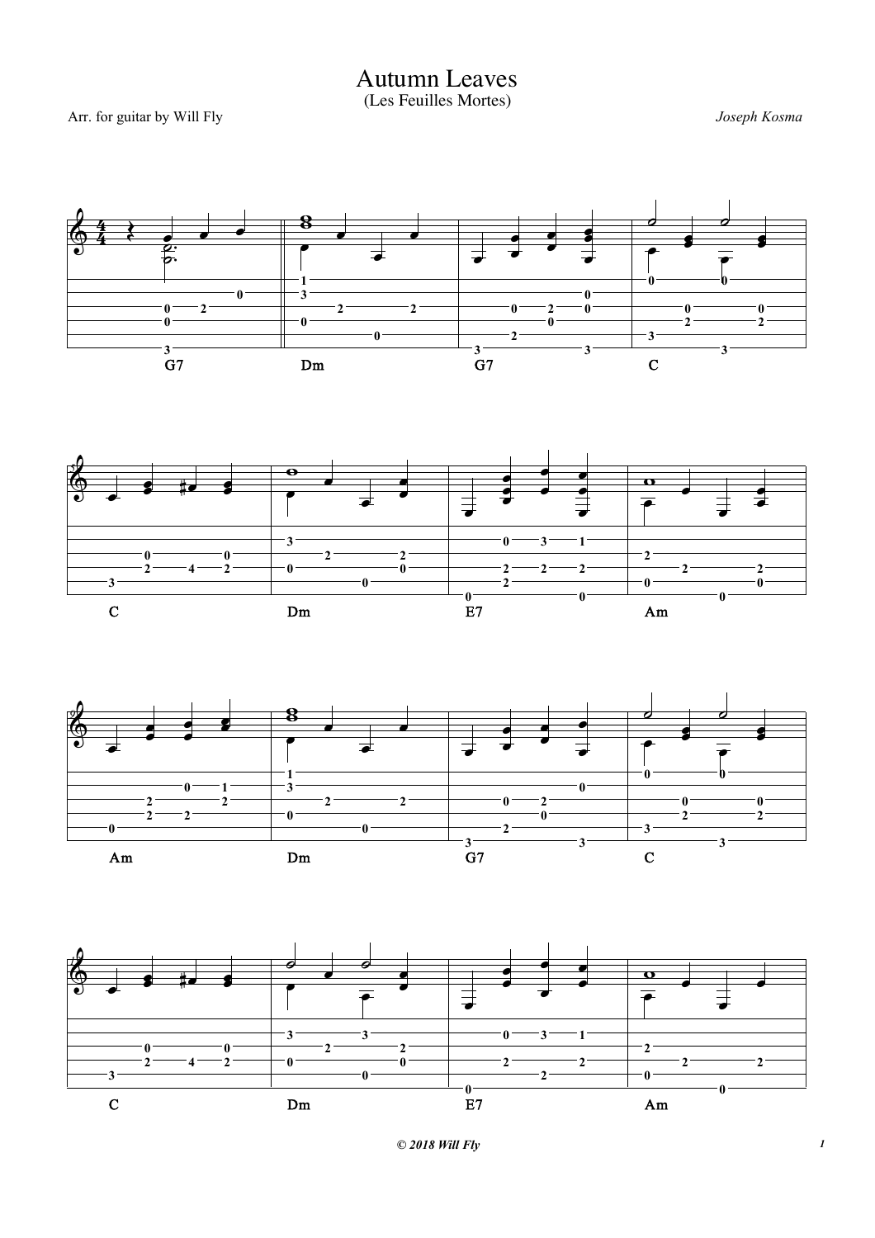*© 2018 Will Fly 1*









Autumn Leaves (Les Feuilles Mortes)

Arr. for guitar by Will Fly *Joseph Kosma*